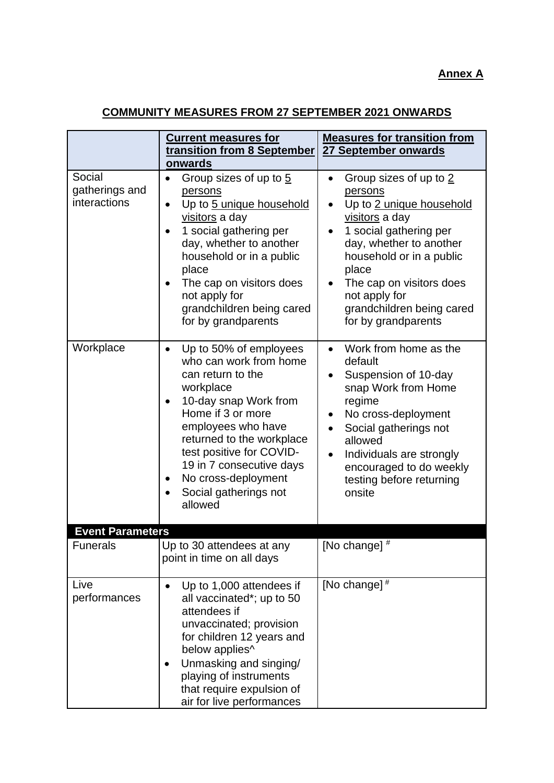## **Annex A**

## **COMMUNITY MEASURES FROM 27 SEPTEMBER 2021 ONWARDS**

|                                          | <b>Current measures for</b><br>transition from 8 September<br>onwards                                                                                                                                                                                                                                                    | <b>Measures for transition from</b><br>27 September onwards                                                                                                                                                                                                                                  |
|------------------------------------------|--------------------------------------------------------------------------------------------------------------------------------------------------------------------------------------------------------------------------------------------------------------------------------------------------------------------------|----------------------------------------------------------------------------------------------------------------------------------------------------------------------------------------------------------------------------------------------------------------------------------------------|
| Social<br>gatherings and<br>interactions | Group sizes of up to 5<br>$\bullet$<br>persons<br>Up to 5 unique household<br>$\bullet$<br>visitors a day<br>1 social gathering per<br>day, whether to another<br>household or in a public<br>place<br>The cap on visitors does<br>$\bullet$<br>not apply for<br>grandchildren being cared<br>for by grandparents        | Group sizes of up to 2<br>$\bullet$<br>persons<br>Up to 2 unique household<br>visitors a day<br>1 social gathering per<br>day, whether to another<br>household or in a public<br>place<br>The cap on visitors does<br>٠<br>not apply for<br>grandchildren being cared<br>for by grandparents |
| Workplace                                | Up to 50% of employees<br>$\bullet$<br>who can work from home<br>can return to the<br>workplace<br>10-day snap Work from<br>Home if 3 or more<br>employees who have<br>returned to the workplace<br>test positive for COVID-<br>19 in 7 consecutive days<br>No cross-deployment<br>٠<br>Social gatherings not<br>allowed | Work from home as the<br>default<br>Suspension of 10-day<br>snap Work from Home<br>regime<br>No cross-deployment<br>Social gatherings not<br>allowed<br>Individuals are strongly<br>encouraged to do weekly<br>testing before returning<br>onsite                                            |
| <b>Event Parameters</b>                  |                                                                                                                                                                                                                                                                                                                          |                                                                                                                                                                                                                                                                                              |
| <b>Funerals</b>                          | Up to 30 attendees at any<br>point in time on all days                                                                                                                                                                                                                                                                   | [No change] #                                                                                                                                                                                                                                                                                |
| Live<br>performances                     | Up to 1,000 attendees if<br>$\bullet$<br>all vaccinated*; up to 50<br>attendees if<br>unvaccinated; provision<br>for children 12 years and<br>below applies^<br>Unmasking and singing/<br>playing of instruments<br>that require expulsion of<br>air for live performances                                               | [No change] $#$                                                                                                                                                                                                                                                                              |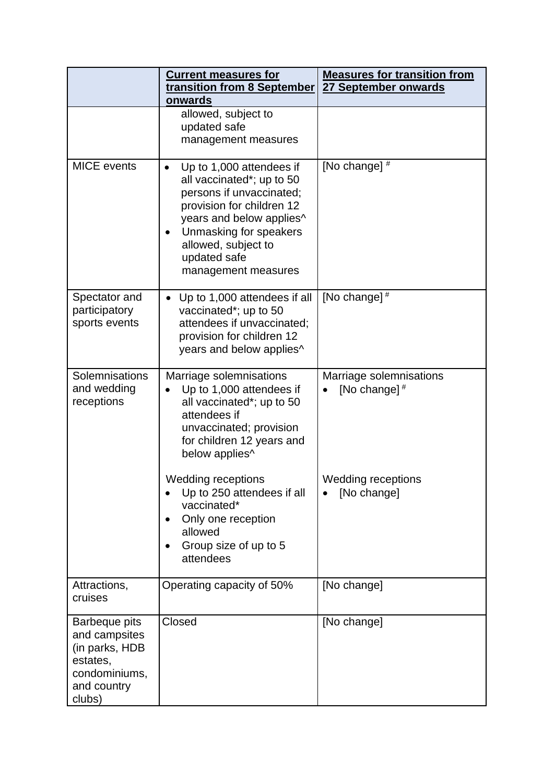|                                                                                                               | <b>Current measures for</b><br>transition from 8 September<br>onwards                                                                                                                                                              | <b>Measures for transition from</b><br>27 September onwards |
|---------------------------------------------------------------------------------------------------------------|------------------------------------------------------------------------------------------------------------------------------------------------------------------------------------------------------------------------------------|-------------------------------------------------------------|
|                                                                                                               | allowed, subject to<br>updated safe<br>management measures                                                                                                                                                                         |                                                             |
| <b>MICE</b> events                                                                                            | Up to 1,000 attendees if<br>all vaccinated*; up to 50<br>persons if unvaccinated;<br>provision for children 12<br>years and below applies^<br>Unmasking for speakers<br>allowed, subject to<br>updated safe<br>management measures | [No change] #                                               |
| Spectator and<br>participatory<br>sports events                                                               | Up to 1,000 attendees if all<br>vaccinated*; up to 50<br>attendees if unvaccinated;<br>provision for children 12<br>years and below applies^                                                                                       | [No change] #                                               |
| <b>Solemnisations</b><br>and wedding<br>receptions                                                            | Marriage solemnisations<br>Up to 1,000 attendees if<br>all vaccinated*; up to 50<br>attendees if<br>unvaccinated; provision<br>for children 12 years and<br>below applies^                                                         | Marriage solemnisations<br>[No change] $#$                  |
|                                                                                                               | <b>Wedding receptions</b><br>Up to 250 attendees if all<br>vaccinated*<br>Only one reception<br>allowed<br>Group size of up to 5<br>attendees                                                                                      | <b>Wedding receptions</b><br>[No change]                    |
| Attractions,<br>cruises                                                                                       | Operating capacity of 50%                                                                                                                                                                                                          | [No change]                                                 |
| <b>Barbeque pits</b><br>and campsites<br>(in parks, HDB<br>estates,<br>condominiums,<br>and country<br>clubs) | Closed                                                                                                                                                                                                                             | [No change]                                                 |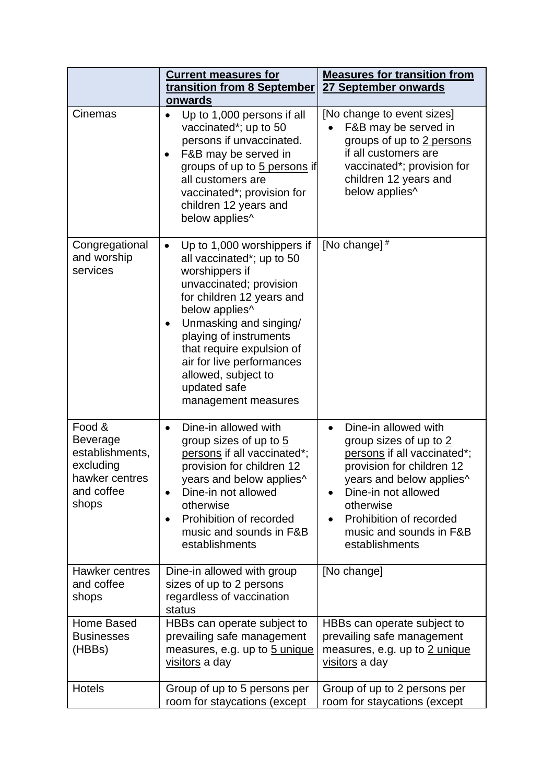|                                                                                             | <b>Current measures for</b><br>transition from 8 September                                                                                                                                                                                                                                                                                   | <b>Measures for transition from</b><br>27 September onwards                                                                                                                                                                                        |
|---------------------------------------------------------------------------------------------|----------------------------------------------------------------------------------------------------------------------------------------------------------------------------------------------------------------------------------------------------------------------------------------------------------------------------------------------|----------------------------------------------------------------------------------------------------------------------------------------------------------------------------------------------------------------------------------------------------|
| Cinemas                                                                                     | onwards<br>Up to 1,000 persons if all<br>$\bullet$<br>vaccinated*; up to 50<br>persons if unvaccinated.<br>F&B may be served in<br>groups of up to 5 persons if<br>all customers are<br>vaccinated*; provision for<br>children 12 years and<br>below applies^                                                                                | [No change to event sizes]<br>F&B may be served in<br>groups of up to 2 persons<br>if all customers are<br>vaccinated*; provision for<br>children 12 years and<br>below applies^                                                                   |
| Congregational<br>and worship<br>services                                                   | Up to 1,000 worshippers if<br>$\bullet$<br>all vaccinated*; up to 50<br>worshippers if<br>unvaccinated; provision<br>for children 12 years and<br>below applies^<br>Unmasking and singing/<br>playing of instruments<br>that require expulsion of<br>air for live performances<br>allowed, subject to<br>updated safe<br>management measures | [No change] #                                                                                                                                                                                                                                      |
| Food &<br>Beverage<br>establishments,<br>excluding<br>hawker centres<br>and coffee<br>shops | Dine-in allowed with<br>group sizes of up to 5<br>persons if all vaccinated*;<br>provision for children 12<br>years and below applies^<br>Dine-in not allowed<br>$\bullet$<br>otherwise<br>Prohibition of recorded<br>$\bullet$<br>music and sounds in F&B<br>establishments                                                                 | Dine-in allowed with<br>group sizes of up to 2<br>persons if all vaccinated*;<br>provision for children 12<br>years and below applies^<br>Dine-in not allowed<br>otherwise<br>Prohibition of recorded<br>music and sounds in F&B<br>establishments |
| Hawker centres<br>and coffee<br>shops                                                       | Dine-in allowed with group<br>sizes of up to 2 persons<br>regardless of vaccination<br>status                                                                                                                                                                                                                                                | [No change]                                                                                                                                                                                                                                        |
| Home Based<br><b>Businesses</b><br>(HBBs)                                                   | HBBs can operate subject to<br>prevailing safe management<br>measures, e.g. up to 5 unique<br>visitors a day                                                                                                                                                                                                                                 | HBBs can operate subject to<br>prevailing safe management<br>measures, e.g. up to 2 unique<br>visitors a day                                                                                                                                       |
| <b>Hotels</b>                                                                               | Group of up to 5 persons per<br>room for staycations (except                                                                                                                                                                                                                                                                                 | Group of up to 2 persons per<br>room for staycations (except                                                                                                                                                                                       |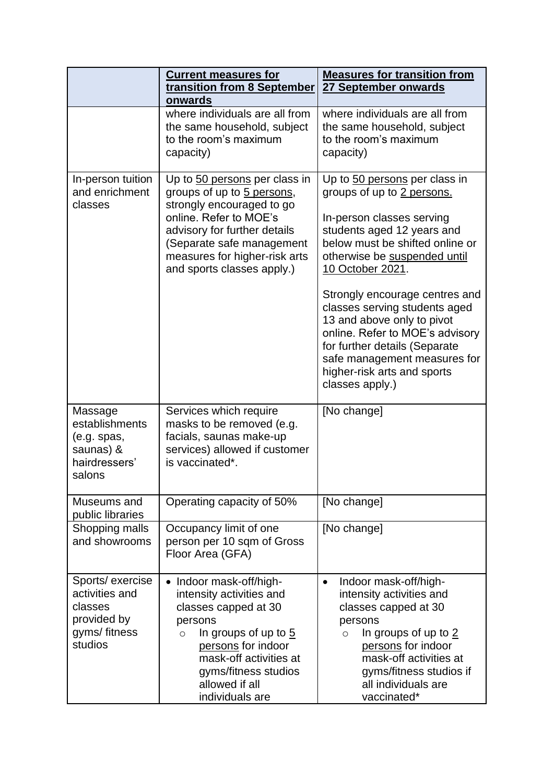|                                                                                         | <b>Current measures for</b><br>transition from 8 September<br>onwards                                                                                                                                                                          | <b>Measures for transition from</b><br>27 September onwards                                                                                                                                                                                                                                                                                                                                                                                                          |
|-----------------------------------------------------------------------------------------|------------------------------------------------------------------------------------------------------------------------------------------------------------------------------------------------------------------------------------------------|----------------------------------------------------------------------------------------------------------------------------------------------------------------------------------------------------------------------------------------------------------------------------------------------------------------------------------------------------------------------------------------------------------------------------------------------------------------------|
|                                                                                         | where individuals are all from<br>the same household, subject<br>to the room's maximum<br>capacity)                                                                                                                                            | where individuals are all from<br>the same household, subject<br>to the room's maximum<br>capacity)                                                                                                                                                                                                                                                                                                                                                                  |
| In-person tuition<br>and enrichment<br>classes                                          | Up to 50 persons per class in<br>groups of up to 5 persons,<br>strongly encouraged to go<br>online. Refer to MOE's<br>advisory for further details<br>(Separate safe management<br>measures for higher-risk arts<br>and sports classes apply.) | Up to 50 persons per class in<br>groups of up to 2 persons.<br>In-person classes serving<br>students aged 12 years and<br>below must be shifted online or<br>otherwise be suspended until<br>10 October 2021.<br>Strongly encourage centres and<br>classes serving students aged<br>13 and above only to pivot<br>online. Refer to MOE's advisory<br>for further details (Separate<br>safe management measures for<br>higher-risk arts and sports<br>classes apply.) |
| Massage<br>establishments<br>(e.g. spas,<br>saunas) &<br>hairdressers'<br>salons        | Services which require<br>masks to be removed (e.g.<br>facials, saunas make-up<br>services) allowed if customer<br>is vaccinated*.                                                                                                             | [No change]                                                                                                                                                                                                                                                                                                                                                                                                                                                          |
| Museums and<br>public libraries                                                         | Operating capacity of 50%                                                                                                                                                                                                                      | [No change]                                                                                                                                                                                                                                                                                                                                                                                                                                                          |
| Shopping malls<br>and showrooms                                                         | Occupancy limit of one<br>person per 10 sqm of Gross<br>Floor Area (GFA)                                                                                                                                                                       | [No change]                                                                                                                                                                                                                                                                                                                                                                                                                                                          |
| Sports/ exercise<br>activities and<br>classes<br>provided by<br>gyms/fitness<br>studios | Indoor mask-off/high-<br>intensity activities and<br>classes capped at 30<br>persons<br>In groups of up to $5$<br>$\circ$<br>persons for indoor<br>mask-off activities at<br>gyms/fitness studios<br>allowed if all<br>individuals are         | Indoor mask-off/high-<br>$\bullet$<br>intensity activities and<br>classes capped at 30<br>persons<br>In groups of up to $2$<br>$\circ$<br>persons for indoor<br>mask-off activities at<br>gyms/fitness studios if<br>all individuals are<br>vaccinated*                                                                                                                                                                                                              |